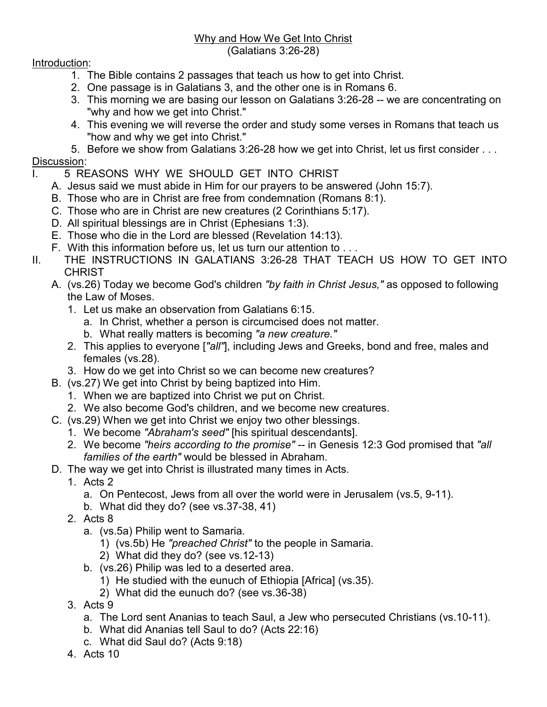## Why and How We Get Into Christ (Galatians 3:26-28)

## Introduction:

- 1. The Bible contains 2 passages that teach us how to get into Christ.
- 2. One passage is in Galatians 3, and the other one is in Romans 6.
- 3. This morning we are basing our lesson on Galatians 3:26-28 -- we are concentrating on "why and how we get into Christ."
- 4. This evening we will reverse the order and study some verses in Romans that teach us "how and why we get into Christ."
- 5. Before we show from Galatians 3:26-28 how we get into Christ, let us first consider . . . Discussion:
- I. 5 REASONS WHY WE SHOULD GET INTO CHRIST
	- A. Jesus said we must abide in Him for our prayers to be answered (John 15:7).
	- B. Those who are in Christ are free from condemnation (Romans 8:1).
	- C. Those who are in Christ are new creatures (2 Corinthians 5:17).
	- D. All spiritual blessings are in Christ (Ephesians 1:3).
	- E. Those who die in the Lord are blessed (Revelation 14:13).
	- F. With this information before us, let us turn our attention to . . .
- II. THE INSTRUCTIONS IN GALATIANS 3:26-28 THAT TEACH US HOW TO GET INTO **CHRIST** 
	- A. (vs.26) Today we become God's children *"by faith in Christ Jesus,"* as opposed to following the Law of Moses.
		- 1. Let us make an observation from Galatians 6:15.
			- a. In Christ, whether a person is circumcised does not matter.
			- b. What really matters is becoming *"a new creature."*
		- 2. This applies to everyone [*"all"*], including Jews and Greeks, bond and free, males and females (vs.28).
		- 3. How do we get into Christ so we can become new creatures?
	- B. (vs.27) We get into Christ by being baptized into Him.
		- 1. When we are baptized into Christ we put on Christ.
		- 2. We also become God's children, and we become new creatures.
	- C. (vs.29) When we get into Christ we enjoy two other blessings.
		- 1. We become *"Abraham's seed"* [his spiritual descendants].
		- 2. We become *"heirs according to the promise"* -- in Genesis 12:3 God promised that *"all families of the earth"* would be blessed in Abraham.
	- D. The way we get into Christ is illustrated many times in Acts.
		- 1. Acts 2
			- a. On Pentecost, Jews from all over the world were in Jerusalem (vs.5, 9-11).
			- b. What did they do? (see vs.37-38, 41)
		- 2. Acts 8
			- a. (vs.5a) Philip went to Samaria.
				- 1) (vs.5b) He *"preached Christ"* to the people in Samaria.
				- 2) What did they do? (see vs.12-13)
			- b. (vs.26) Philip was led to a deserted area.
				- 1) He studied with the eunuch of Ethiopia [Africa] (vs.35).
				- 2) What did the eunuch do? (see vs.36-38)
		- 3. Acts 9
			- a. The Lord sent Ananias to teach Saul, a Jew who persecuted Christians (vs.10-11).
			- b. What did Ananias tell Saul to do? (Acts 22:16)
			- c. What did Saul do? (Acts 9:18)
		- 4. Acts 10